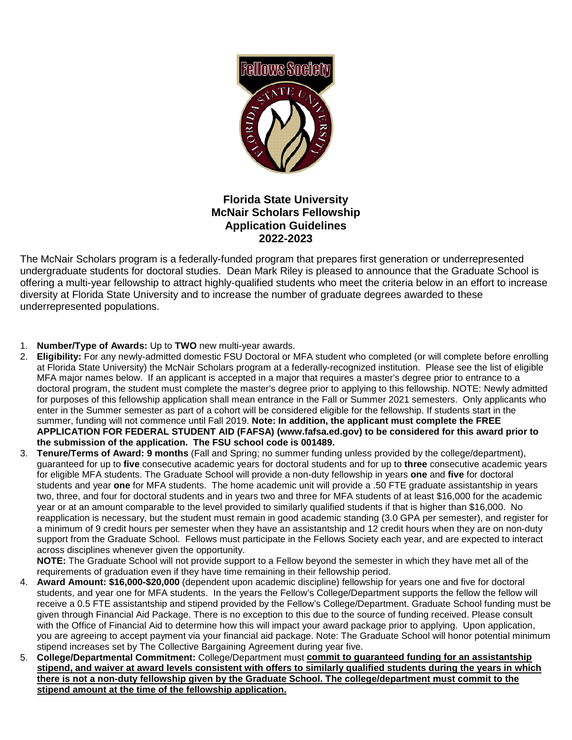

# **Florida State University McNair Scholars Fellowship Application Guidelines 2022-2023**

The McNair Scholars program is a federally-funded program that prepares first generation or underrepresented undergraduate students for doctoral studies. Dean Mark Riley is pleased to announce that the Graduate School is offering a multi-year fellowship to attract highly-qualified students who meet the criteria below in an effort to increase diversity at Florida State University and to increase the number of graduate degrees awarded to these underrepresented populations.

- 1. **Number/Type of Awards:** Up to **TWO** new multi-year awards.
- 2. **Eligibility:** For any newly-admitted domestic FSU Doctoral or MFA student who completed (or will complete before enrolling at Florida State University) the McNair Scholars program at a federally-recognized institution. Please see the list of eligible MFA major names below. If an applicant is accepted in a major that requires a master's degree prior to entrance to a doctoral program, the student must complete the master's degree prior to applying to this fellowship. NOTE: Newly admitted for purposes of this fellowship application shall mean entrance in the Fall or Summer 2021 semesters. Only applicants who enter in the Summer semester as part of a cohort will be considered eligible for the fellowship. If students start in the summer, funding will not commence until Fall 2019. **Note: In addition, the applicant must complete the FREE APPLICATION FOR FEDERAL STUDENT AID (FAFSA) (www.fafsa.ed.gov) to be considered for this award prior to the submission of the application. The FSU school code is 001489.**
- 3. **Tenure/Terms of Award: 9 months** (Fall and Spring; no summer funding unless provided by the college/department), guaranteed for up to **five** consecutive academic years for doctoral students and for up to **three** consecutive academic years for eligible MFA students. The Graduate School will provide a non-duty fellowship in years **one** and **five** for doctoral students and year **one** for MFA students. The home academic unit will provide a .50 FTE graduate assistantship in years two, three, and four for doctoral students and in years two and three for MFA students of at least \$16,000 for the academic year or at an amount comparable to the level provided to similarly qualified students if that is higher than \$16,000. No reapplication is necessary, but the student must remain in good academic standing (3.0 GPA per semester), and register for a minimum of 9 credit hours per semester when they have an assistantship and 12 credit hours when they are on non-duty support from the Graduate School. Fellows must participate in the Fellows Society each year, and are expected to interact across disciplines whenever given the opportunity.

**NOTE:** The Graduate School will not provide support to a Fellow beyond the semester in which they have met all of the requirements of graduation even if they have time remaining in their fellowship period.

- 4. **Award Amount: \$16,000-\$20,000** (dependent upon academic discipline) fellowship for years one and five for doctoral students, and year one for MFA students. In the years the Fellow's College/Department supports the fellow the fellow will receive a 0.5 FTE assistantship and stipend provided by the Fellow's College/Department. Graduate School funding must be given through Financial Aid Package. There is no exception to this due to the source of funding received. Please consult with the Office of Financial Aid to determine how this will impact your award package prior to applying. Upon application, you are agreeing to accept payment via your financial aid package. Note: The Graduate School will honor potential minimum stipend increases set by The Collective Bargaining Agreement during year five.
- 5. **College/Departmental Commitment:** College/Department must **commit to guaranteed funding for an assistantship stipend, and waiver at award levels consistent with offers to similarly qualified students during the years in which there is not a non-duty fellowship given by the Graduate School. The college/department must commit to the stipend amount at the time of the fellowship application.**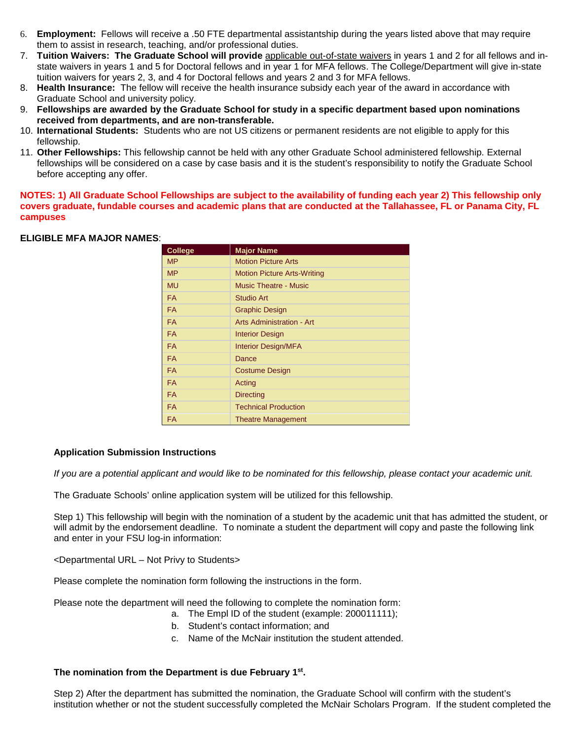- 6. **Employment:** Fellows will receive a .50 FTE departmental assistantship during the years listed above that may require them to assist in research, teaching, and/or professional duties.
- 7. **Tuition Waivers: The Graduate School will provide** applicable out-of-state waivers in years 1 and 2 for all fellows and instate waivers in years 1 and 5 for Doctoral fellows and in year 1 for MFA fellows. The College/Department will give in-state tuition waivers for years 2, 3, and 4 for Doctoral fellows and years 2 and 3 for MFA fellows.
- 8. **Health Insurance:** The fellow will receive the health insurance subsidy each year of the award in accordance with Graduate School and university policy.
- 9. **Fellowships are awarded by the Graduate School for study in a specific department based upon nominations received from departments, and are non-transferable.**
- 10. **International Students:** Students who are not US citizens or permanent residents are not eligible to apply for this fellowship.
- 11. **Other Fellowships:** This fellowship cannot be held with any other Graduate School administered fellowship. External fellowships will be considered on a case by case basis and it is the student's responsibility to notify the Graduate School before accepting any offer.

**NOTES: 1) All Graduate School Fellowships are subject to the availability of funding each year 2) This fellowship only covers graduate, fundable courses and academic plans that are conducted at the Tallahassee, FL or Panama City, FL campuses**

## **ELIGIBLE MFA MAJOR NAMES**:

| <b>College</b> | <b>Major Name</b>                  |
|----------------|------------------------------------|
| <b>MP</b>      | <b>Motion Picture Arts</b>         |
| <b>MP</b>      | <b>Motion Picture Arts-Writing</b> |
| <b>MU</b>      | <b>Music Theatre - Music</b>       |
| <b>FA</b>      | Studio Art                         |
| <b>FA</b>      | <b>Graphic Design</b>              |
| <b>FA</b>      | Arts Administration - Art          |
| <b>FA</b>      | <b>Interior Design</b>             |
| <b>FA</b>      | <b>Interior Design/MFA</b>         |
| <b>FA</b>      | Dance                              |
| <b>FA</b>      | <b>Costume Design</b>              |
| <b>FA</b>      | Acting                             |
| <b>FA</b>      | <b>Directing</b>                   |
| <b>FA</b>      | <b>Technical Production</b>        |
| <b>FA</b>      | <b>Theatre Management</b>          |

#### **Application Submission Instructions**

*If you are a potential applicant and would like to be nominated for this fellowship, please contact your academic unit.*

The Graduate Schools' online application system will be utilized for this fellowship.

Step 1) This fellowship will begin with the nomination of a student by the academic unit that has admitted the student, or will admit by the endorsement deadline. To nominate a student the department will copy and paste the following link and enter in your FSU log-in information:

<Departmental URL – Not Privy to Students>

Please complete the nomination form following the instructions in the form.

Please note the department will need the following to complete the nomination form:

- a. The Empl ID of the student (example: 200011111);
	- b. Student's contact information; and
	- c. Name of the McNair institution the student attended.

#### **The nomination from the Department is due February 1st.**

Step 2) After the department has submitted the nomination, the Graduate School will confirm with the student's institution whether or not the student successfully completed the McNair Scholars Program. If the student completed the